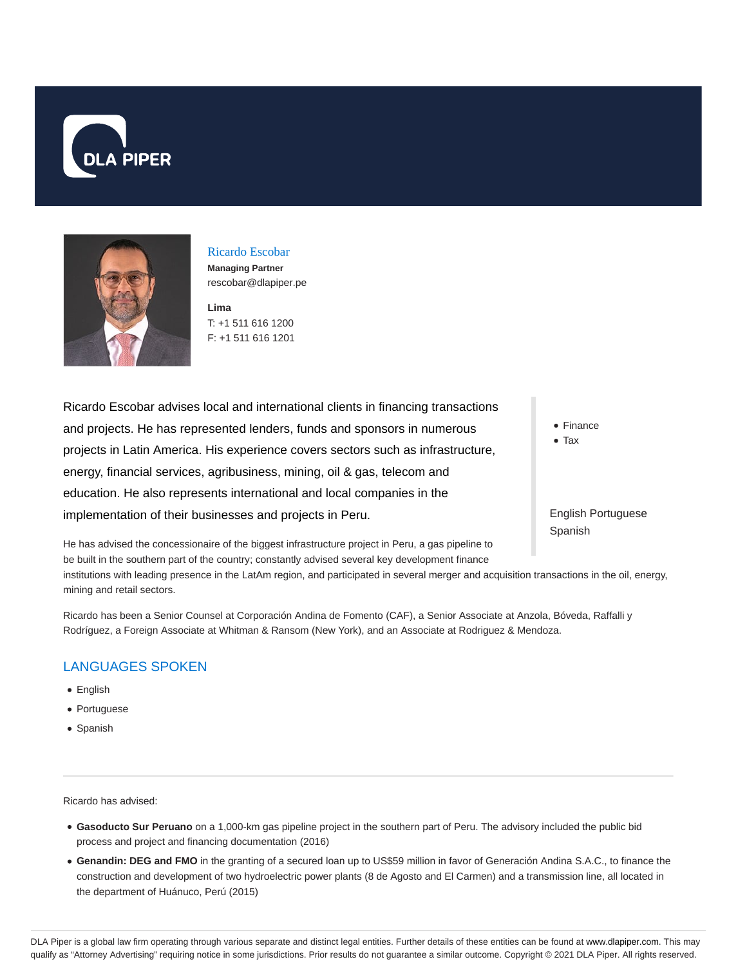



Ricardo Escobar **Managing Partner** rescobar@dlapiper.pe

**Lima** T: +1 511 616 1200 F: +1 511 616 1201

Ricardo Escobar advises local and international clients in financing transactions and projects. He has represented lenders, funds and sponsors in numerous projects in Latin America. His experience covers sectors such as infrastructure, energy, financial services, agribusiness, mining, oil & gas, telecom and education. He also represents international and local companies in the implementation of their businesses and projects in Peru.

He has advised the concessionaire of the biggest infrastructure project in Peru, a gas pipeline to be built in the southern part of the country; constantly advised several key development finance institutions with leading presence in the LatAm region, and participated in several merger and acquisition transactions in the oil, energy,

Ricardo has been a Senior Counsel at Corporación Andina de Fomento (CAF), a Senior Associate at Anzola, Bóveda, Raffalli y Rodríguez, a Foreign Associate at Whitman & Ransom (New York), and an Associate at Rodriguez & Mendoza.

# LANGUAGES SPOKEN

mining and retail sectors.

- English
- Portuguese
- Spanish

Ricardo has advised:

- **Gasoducto Sur Peruano** on a 1,000-km gas pipeline project in the southern part of Peru. The advisory included the public bid process and project and financing documentation (2016)
- **Genandin: DEG and FMO** in the granting of a secured loan up to US\$59 million in favor of Generación Andina S.A.C., to finance the construction and development of two hydroelectric power plants (8 de Agosto and El Carmen) and a transmission line, all located in the department of Huánuco, Perú (2015)
- Finance
- Tax

English Portuguese Spanish

DLA Piper is a global law firm operating through various separate and distinct legal entities. Further details of these entities can be found at www.dlapiper.com. This may qualify as "Attorney Advertising" requiring notice in some jurisdictions. Prior results do not guarantee a similar outcome. Copyright © 2021 DLA Piper. All rights reserved.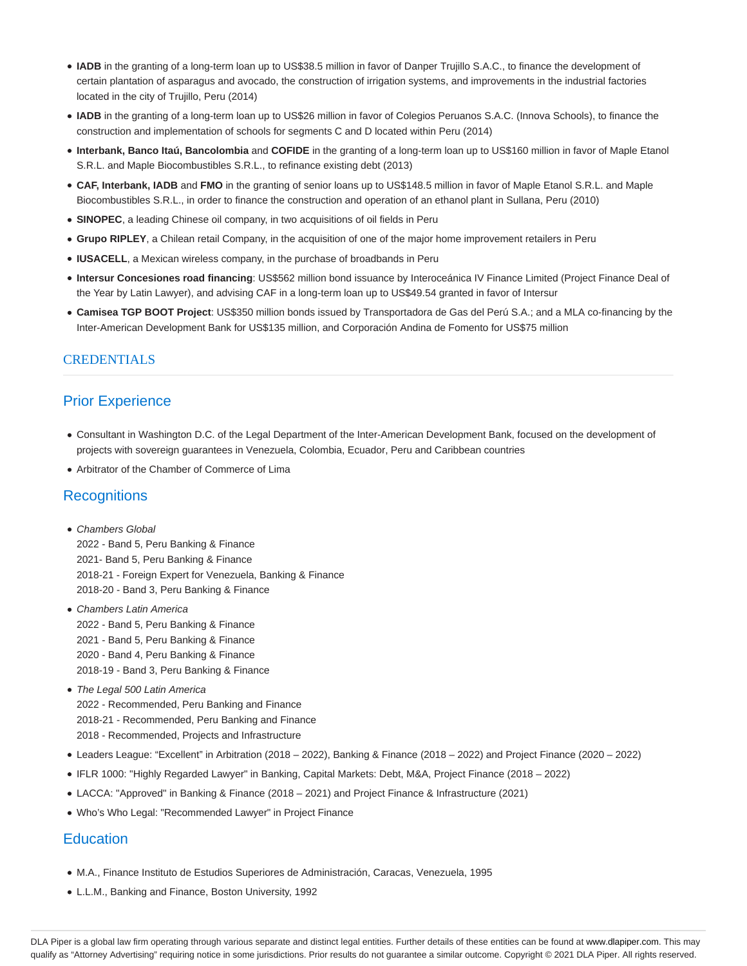- **IADB** in the granting of a long-term loan up to US\$38.5 million in favor of Danper Trujillo S.A.C., to finance the development of certain plantation of asparagus and avocado, the construction of irrigation systems, and improvements in the industrial factories located in the city of Trujillo, Peru (2014)
- **IADB** in the granting of a long-term loan up to US\$26 million in favor of Colegios Peruanos S.A.C. (Innova Schools), to finance the construction and implementation of schools for segments C and D located within Peru (2014)
- **Interbank, Banco Itaú, Bancolombia** and **COFIDE** in the granting of a long-term loan up to US\$160 million in favor of Maple Etanol S.R.L. and Maple Biocombustibles S.R.L., to refinance existing debt (2013)
- **CAF, Interbank, IADB** and **FMO** in the granting of senior loans up to US\$148.5 million in favor of Maple Etanol S.R.L. and Maple Biocombustibles S.R.L., in order to finance the construction and operation of an ethanol plant in Sullana, Peru (2010)
- **SINOPEC**, a leading Chinese oil company, in two acquisitions of oil fields in Peru
- **Grupo RIPLEY**, a Chilean retail Company, in the acquisition of one of the major home improvement retailers in Peru
- **IUSACELL**, a Mexican wireless company, in the purchase of broadbands in Peru
- **Intersur Concesiones road financing**: US\$562 million bond issuance by Interoceánica IV Finance Limited (Project Finance Deal of the Year by Latin Lawyer), and advising CAF in a long-term loan up to US\$49.54 granted in favor of Intersur
- **Camisea TGP BOOT Project**: US\$350 million bonds issued by Transportadora de Gas del Perú S.A.; and a MLA co-financing by the Inter-American Development Bank for US\$135 million, and Corporación Andina de Fomento for US\$75 million

### CREDENTIALS

## Prior Experience

- Consultant in Washington D.C. of the Legal Department of the Inter-American Development Bank, focused on the development of projects with sovereign guarantees in Venezuela, Colombia, Ecuador, Peru and Caribbean countries
- Arbitrator of the Chamber of Commerce of Lima

### **Recognitions**

• Chambers Global 2022 - Band 5, Peru Banking & Finance

2021- Band 5, Peru Banking & Finance 2018-21 - Foreign Expert for Venezuela, Banking & Finance 2018-20 - Band 3, Peru Banking & Finance

- Chambers Latin America 2022 - Band 5, Peru Banking & Finance 2021 - Band 5, Peru Banking & Finance 2020 - Band 4, Peru Banking & Finance 2018-19 - Band 3, Peru Banking & Finance
- The Legal 500 Latin America 2022 - Recommended, Peru Banking and Finance 2018-21 - Recommended, Peru Banking and Finance 2018 - Recommended, Projects and Infrastructure
- Leaders League: "Excellent" in Arbitration (2018 2022), Banking & Finance (2018 2022) and Project Finance (2020 2022)
- IFLR 1000: "Highly Regarded Lawyer" in Banking, Capital Markets: Debt, M&A, Project Finance (2018 2022)
- LACCA: "Approved" in Banking & Finance (2018 2021) and Project Finance & Infrastructure (2021)
- Who's Who Legal: "Recommended Lawyer" in Project Finance

### **Education**

- M.A., Finance Instituto de Estudios Superiores de Administración, Caracas, Venezuela, 1995
- L.L.M., Banking and Finance, Boston University, 1992